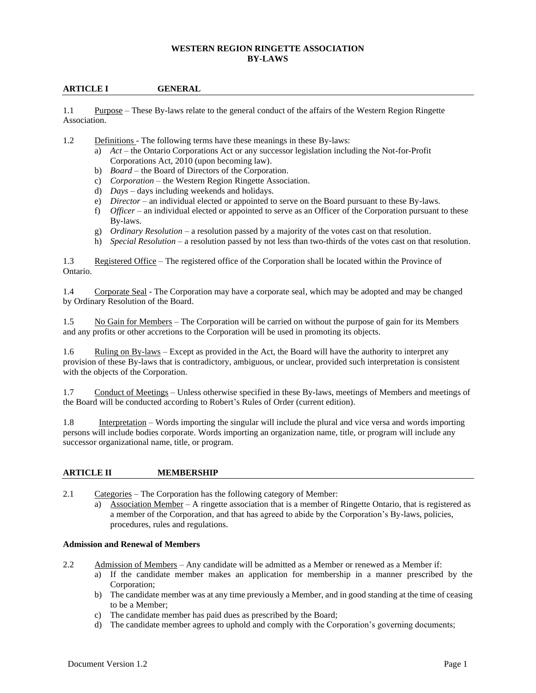### **WESTERN REGION RINGETTE ASSOCIATION BY-LAWS**

## **ARTICLE I GENERAL**

1.1 Purpose – These By-laws relate to the general conduct of the affairs of the Western Region Ringette Association.

- 1.2 Definitions The following terms have these meanings in these By-laws:
	- a) *Act* the Ontario Corporations Act or any successor legislation including the Not-for-Profit Corporations Act, 2010 (upon becoming law).
	- b) *Board* the Board of Directors of the Corporation.
	- c) *Corporation* the Western Region Ringette Association.
	- d) *Days* days including weekends and holidays.
	- e) *Director* an individual elected or appointed to serve on the Board pursuant to these By-laws.
	- f) *Officer* an individual elected or appointed to serve as an Officer of the Corporation pursuant to these By-laws.
	- g) *Ordinary Resolution* a resolution passed by a majority of the votes cast on that resolution.
	- h) *Special Resolution* a resolution passed by not less than two-thirds of the votes cast on that resolution.

1.3 Registered Office – The registered office of the Corporation shall be located within the Province of Ontario.

1.4 Corporate Seal - The Corporation may have a corporate seal, which may be adopted and may be changed by Ordinary Resolution of the Board.

1.5 No Gain for Members – The Corporation will be carried on without the purpose of gain for its Members and any profits or other accretions to the Corporation will be used in promoting its objects.

1.6 Ruling on By-laws – Except as provided in the Act, the Board will have the authority to interpret any provision of these By-laws that is contradictory, ambiguous, or unclear, provided such interpretation is consistent with the objects of the Corporation.

1.7 Conduct of Meetings – Unless otherwise specified in these By-laws, meetings of Members and meetings of the Board will be conducted according to Robert's Rules of Order (current edition).

1.8 Interpretation – Words importing the singular will include the plural and vice versa and words importing persons will include bodies corporate. Words importing an organization name, title, or program will include any successor organizational name, title, or program.

#### **ARTICLE II MEMBERSHIP**

2.1 Categories – The Corporation has the following category of Member:

a) Association Member – A ringette association that is a member of Ringette Ontario, that is registered as a member of the Corporation, and that has agreed to abide by the Corporation's By-laws, policies, procedures, rules and regulations.

#### **Admission and Renewal of Members**

- 2.2 Admission of Members Any candidate will be admitted as a Member or renewed as a Member if:
	- a) If the candidate member makes an application for membership in a manner prescribed by the Corporation;
	- b) The candidate member was at any time previously a Member, and in good standing at the time of ceasing to be a Member;
	- c) The candidate member has paid dues as prescribed by the Board;
	- d) The candidate member agrees to uphold and comply with the Corporation's governing documents;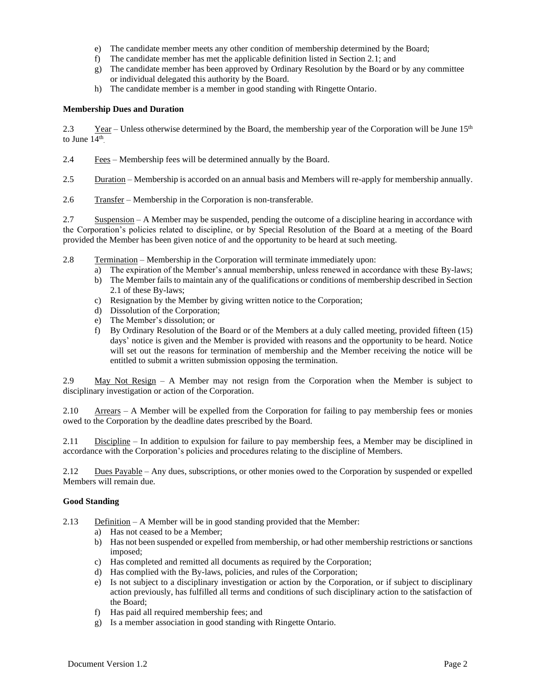- e) The candidate member meets any other condition of membership determined by the Board;
- f) The candidate member has met the applicable definition listed in Section 2.1; and
- g) The candidate member has been approved by Ordinary Resolution by the Board or by any committee or individual delegated this authority by the Board.
- h) The candidate member is a member in good standing with Ringette Ontario.

## **Membership Dues and Duration**

2.3 Year – Unless otherwise determined by the Board, the membership year of the Corporation will be June  $15<sup>th</sup>$ to June  $14<sup>th</sup>$ .

2.4 Fees – Membership fees will be determined annually by the Board.

2.5 Duration – Membership is accorded on an annual basis and Members will re-apply for membership annually.

2.6 Transfer – Membership in the Corporation is non-transferable.

2.7 Suspension – A Member may be suspended, pending the outcome of a discipline hearing in accordance with the Corporation's policies related to discipline, or by Special Resolution of the Board at a meeting of the Board provided the Member has been given notice of and the opportunity to be heard at such meeting.

- 2.8 Termination Membership in the Corporation will terminate immediately upon:
	- a) The expiration of the Member's annual membership, unless renewed in accordance with these By-laws; b) The Member fails to maintain any of the qualifications or conditions of membership described in Section
	- 2.1 of these By-laws;
	- c) Resignation by the Member by giving written notice to the Corporation;
	- d) Dissolution of the Corporation;
	- e) The Member's dissolution; or
	- f) By Ordinary Resolution of the Board or of the Members at a duly called meeting, provided fifteen (15) days' notice is given and the Member is provided with reasons and the opportunity to be heard. Notice will set out the reasons for termination of membership and the Member receiving the notice will be entitled to submit a written submission opposing the termination.

2.9 May Not Resign – A Member may not resign from the Corporation when the Member is subject to disciplinary investigation or action of the Corporation.

2.10 Arrears – A Member will be expelled from the Corporation for failing to pay membership fees or monies owed to the Corporation by the deadline dates prescribed by the Board.

2.11 Discipline – In addition to expulsion for failure to pay membership fees, a Member may be disciplined in accordance with the Corporation's policies and procedures relating to the discipline of Members.

2.12 Dues Payable – Any dues, subscriptions, or other monies owed to the Corporation by suspended or expelled Members will remain due.

#### **Good Standing**

- 2.13 Definition A Member will be in good standing provided that the Member:
	- a) Has not ceased to be a Member;
	- b) Has not been suspended or expelled from membership, or had other membership restrictions or sanctions imposed;
	- c) Has completed and remitted all documents as required by the Corporation;
	- d) Has complied with the By-laws, policies, and rules of the Corporation;
	- e) Is not subject to a disciplinary investigation or action by the Corporation, or if subject to disciplinary action previously, has fulfilled all terms and conditions of such disciplinary action to the satisfaction of the Board;
	- f) Has paid all required membership fees; and
	- g) Is a member association in good standing with Ringette Ontario.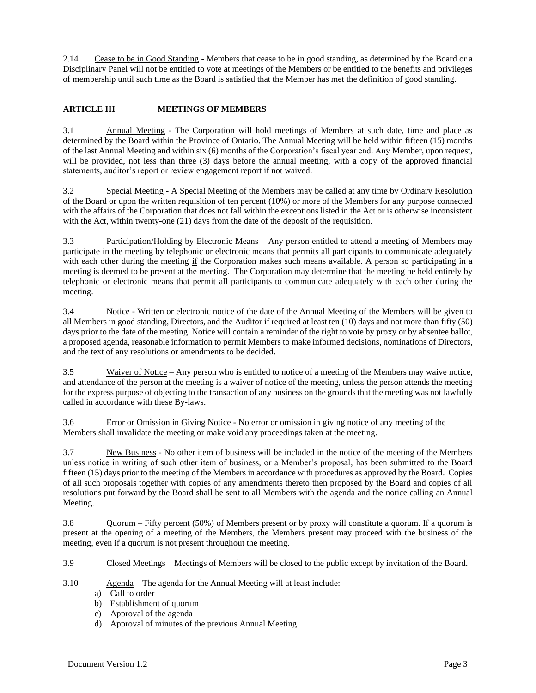2.14 Cease to be in Good Standing - Members that cease to be in good standing, as determined by the Board or a Disciplinary Panel will not be entitled to vote at meetings of the Members or be entitled to the benefits and privileges of membership until such time as the Board is satisfied that the Member has met the definition of good standing.

# **ARTICLE III MEETINGS OF MEMBERS**

3.1 Annual Meeting - The Corporation will hold meetings of Members at such date, time and place as determined by the Board within the Province of Ontario. The Annual Meeting will be held within fifteen (15) months of the last Annual Meeting and within six (6) months of the Corporation's fiscal year end. Any Member, upon request, will be provided, not less than three (3) days before the annual meeting, with a copy of the approved financial statements, auditor's report or review engagement report if not waived.

3.2 Special Meeting - A Special Meeting of the Members may be called at any time by Ordinary Resolution of the Board or upon the written requisition of ten percent (10%) or more of the Members for any purpose connected with the affairs of the Corporation that does not fall within the exceptions listed in the Act or is otherwise inconsistent with the Act, within twenty-one (21) days from the date of the deposit of the requisition.

3.3 Participation/Holding by Electronic Means – Any person entitled to attend a meeting of Members may participate in the meeting by telephonic or electronic means that permits all participants to communicate adequately with each other during the meeting if the Corporation makes such means available. A person so participating in a meeting is deemed to be present at the meeting. The Corporation may determine that the meeting be held entirely by telephonic or electronic means that permit all participants to communicate adequately with each other during the meeting.

3.4 Notice - Written or electronic notice of the date of the Annual Meeting of the Members will be given to all Members in good standing, Directors, and the Auditor if required at least ten (10) days and not more than fifty (50) days prior to the date of the meeting. Notice will contain a reminder of the right to vote by proxy or by absentee ballot, a proposed agenda, reasonable information to permit Members to make informed decisions, nominations of Directors, and the text of any resolutions or amendments to be decided.

3.5 Waiver of Notice – Any person who is entitled to notice of a meeting of the Members may waive notice, and attendance of the person at the meeting is a waiver of notice of the meeting, unless the person attends the meeting for the express purpose of objecting to the transaction of any business on the grounds that the meeting was not lawfully called in accordance with these By-laws.

3.6 Error or Omission in Giving Notice **-** No error or omission in giving notice of any meeting of the Members shall invalidate the meeting or make void any proceedings taken at the meeting.

3.7 New Business - No other item of business will be included in the notice of the meeting of the Members unless notice in writing of such other item of business, or a Member's proposal, has been submitted to the Board fifteen (15) days prior to the meeting of the Members in accordance with procedures as approved by the Board. Copies of all such proposals together with copies of any amendments thereto then proposed by the Board and copies of all resolutions put forward by the Board shall be sent to all Members with the agenda and the notice calling an Annual Meeting.

3.8 Quorum – Fifty percent (50%) of Members present or by proxy will constitute a quorum. If a quorum is present at the opening of a meeting of the Members, the Members present may proceed with the business of the meeting, even if a quorum is not present throughout the meeting.

3.9 Closed Meetings – Meetings of Members will be closed to the public except by invitation of the Board.

- 3.10 Agenda The agenda for the Annual Meeting will at least include:
	- a) Call to order
	- b) Establishment of quorum
	- c) Approval of the agenda
	- d) Approval of minutes of the previous Annual Meeting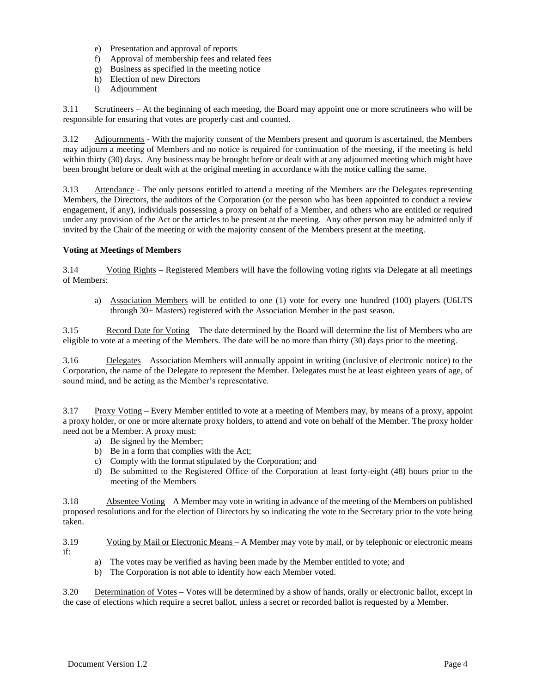- e) Presentation and approval of reports
- f) Approval of membership fees and related fees
- g) Business as specified in the meeting notice
- h) Election of new Directors
- i) Adjournment

3.11 Scrutineers – At the beginning of each meeting, the Board may appoint one or more scrutineers who will be responsible for ensuring that votes are properly cast and counted.

3.12 Adjournments - With the majority consent of the Members present and quorum is ascertained, the Members may adjourn a meeting of Members and no notice is required for continuation of the meeting, if the meeting is held within thirty (30) days. Any business may be brought before or dealt with at any adjourned meeting which might have been brought before or dealt with at the original meeting in accordance with the notice calling the same.

3.13 Attendance - The only persons entitled to attend a meeting of the Members are the Delegates representing Members, the Directors, the auditors of the Corporation (or the person who has been appointed to conduct a review engagement, if any), individuals possessing a proxy on behalf of a Member, and others who are entitled or required under any provision of the Act or the articles to be present at the meeting. Any other person may be admitted only if invited by the Chair of the meeting or with the majority consent of the Members present at the meeting.

## **Voting at Meetings of Members**

3.14 Voting Rights – Registered Members will have the following voting rights via Delegate at all meetings of Members:

a) Association Members will be entitled to one (1) vote for every one hundred (100) players (U6LTS through 30+ Masters) registered with the Association Member in the past season.

3.15 Record Date for Voting – The date determined by the Board will determine the list of Members who are eligible to vote at a meeting of the Members. The date will be no more than thirty (30) days prior to the meeting.

3.16 Delegates – Association Members will annually appoint in writing (inclusive of electronic notice) to the Corporation, the name of the Delegate to represent the Member. Delegates must be at least eighteen years of age, of sound mind, and be acting as the Member's representative.

3.17 Proxy Voting – Every Member entitled to vote at a meeting of Members may, by means of a proxy, appoint a proxy holder, or one or more alternate proxy holders, to attend and vote on behalf of the Member. The proxy holder need not be a Member. A proxy must:

- a) Be signed by the Member;
- b) Be in a form that complies with the Act;
- c) Comply with the format stipulated by the Corporation; and
- d) Be submitted to the Registered Office of the Corporation at least forty-eight (48) hours prior to the meeting of the Members

3.18 Absentee Voting – A Member may vote in writing in advance of the meeting of the Members on published proposed resolutions and for the election of Directors by so indicating the vote to the Secretary prior to the vote being taken.

3.19 Voting by Mail or Electronic Means – A Member may vote by mail, or by telephonic or electronic means if:

- a) The votes may be verified as having been made by the Member entitled to vote; and
- b) The Corporation is not able to identify how each Member voted.

3.20 Determination of Votes – Votes will be determined by a show of hands, orally or electronic ballot, except in the case of elections which require a secret ballot, unless a secret or recorded ballot is requested by a Member.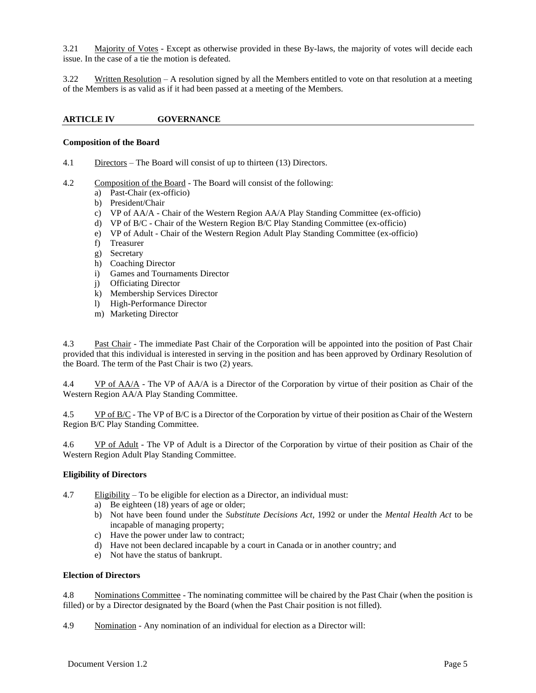3.21 Majority of Votes - Except as otherwise provided in these By-laws, the majority of votes will decide each issue. In the case of a tie the motion is defeated.

3.22 Written Resolution – A resolution signed by all the Members entitled to vote on that resolution at a meeting of the Members is as valid as if it had been passed at a meeting of the Members.

## **ARTICLE IV GOVERNANCE**

#### **Composition of the Board**

4.1 Directors – The Board will consist of up to thirteen (13) Directors.

- 4.2 Composition of the Board The Board will consist of the following:
	- a) Past-Chair (ex-officio)
	- b) President/Chair
	- c) VP of AA/A Chair of the Western Region AA/A Play Standing Committee (ex-officio)
	- d) VP of B/C Chair of the Western Region B/C Play Standing Committee (ex-officio)
	- e) VP of Adult Chair of the Western Region Adult Play Standing Committee (ex-officio)
	- f) Treasurer
	- g) Secretary
	- h) Coaching Director
	- i) Games and Tournaments Director
	- j) Officiating Director
	- k) Membership Services Director
	- l) High-Performance Director
	- m) Marketing Director

4.3 Past Chair - The immediate Past Chair of the Corporation will be appointed into the position of Past Chair provided that this individual is interested in serving in the position and has been approved by Ordinary Resolution of the Board. The term of the Past Chair is two (2) years.

4.4 VP of AA/A - The VP of AA/A is a Director of the Corporation by virtue of their position as Chair of the Western Region AA/A Play Standing Committee.

4.5 VP of B/C - The VP of B/C is a Director of the Corporation by virtue of their position as Chair of the Western Region B/C Play Standing Committee.

4.6 VP of Adult - The VP of Adult is a Director of the Corporation by virtue of their position as Chair of the Western Region Adult Play Standing Committee.

## **Eligibility of Directors**

- 4.7 Eligibility To be eligible for election as a Director, an individual must:
	- a) Be eighteen (18) years of age or older;
	- b) Not have been found under the *Substitute Decisions Act*, 1992 or under the *Mental Health Act* to be incapable of managing property;
	- c) Have the power under law to contract;
	- d) Have not been declared incapable by a court in Canada or in another country; and
	- e) Not have the status of bankrupt.

#### **Election of Directors**

4.8 Nominations Committee - The nominating committee will be chaired by the Past Chair (when the position is filled) or by a Director designated by the Board (when the Past Chair position is not filled).

4.9 Nomination - Any nomination of an individual for election as a Director will: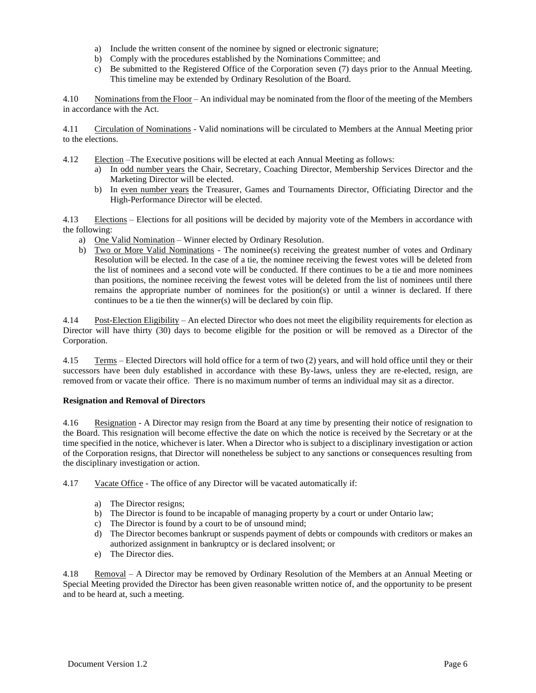- a) Include the written consent of the nominee by signed or electronic signature;
- b) Comply with the procedures established by the Nominations Committee; and
- c) Be submitted to the Registered Office of the Corporation seven (7) days prior to the Annual Meeting. This timeline may be extended by Ordinary Resolution of the Board.

4.10 Nominations from the Floor – An individual may be nominated from the floor of the meeting of the Members in accordance with the Act.

4.11 Circulation of Nominations - Valid nominations will be circulated to Members at the Annual Meeting prior to the elections.

4.12 Election –The Executive positions will be elected at each Annual Meeting as follows:

- a) In odd number years the Chair, Secretary, Coaching Director, Membership Services Director and the Marketing Director will be elected.
- b) In even number years the Treasurer, Games and Tournaments Director, Officiating Director and the High-Performance Director will be elected.

4.13 Elections – Elections for all positions will be decided by majority vote of the Members in accordance with the following:

- a) One Valid Nomination Winner elected by Ordinary Resolution.
- b) Two or More Valid Nominations The nominee(s) receiving the greatest number of votes and Ordinary Resolution will be elected. In the case of a tie, the nominee receiving the fewest votes will be deleted from the list of nominees and a second vote will be conducted. If there continues to be a tie and more nominees than positions, the nominee receiving the fewest votes will be deleted from the list of nominees until there remains the appropriate number of nominees for the position(s) or until a winner is declared. If there continues to be a tie then the winner(s) will be declared by coin flip.

4.14 Post-Election Eligibility – An elected Director who does not meet the eligibility requirements for election as Director will have thirty (30) days to become eligible for the position or will be removed as a Director of the Corporation.

4.15 Terms – Elected Directors will hold office for a term of two (2) years, and will hold office until they or their successors have been duly established in accordance with these By-laws, unless they are re-elected, resign, are removed from or vacate their office. There is no maximum number of terms an individual may sit as a director.

#### **Resignation and Removal of Directors**

4.16 Resignation - A Director may resign from the Board at any time by presenting their notice of resignation to the Board. This resignation will become effective the date on which the notice is received by the Secretary or at the time specified in the notice, whichever is later. When a Director who is subject to a disciplinary investigation or action of the Corporation resigns, that Director will nonetheless be subject to any sanctions or consequences resulting from the disciplinary investigation or action.

4.17 Vacate Office - The office of any Director will be vacated automatically if:

- a) The Director resigns;
- b) The Director is found to be incapable of managing property by a court or under Ontario law;
- c) The Director is found by a court to be of unsound mind;
- d) The Director becomes bankrupt or suspends payment of debts or compounds with creditors or makes an authorized assignment in bankruptcy or is declared insolvent; or
- e) The Director dies.

4.18 Removal – A Director may be removed by Ordinary Resolution of the Members at an Annual Meeting or Special Meeting provided the Director has been given reasonable written notice of, and the opportunity to be present and to be heard at, such a meeting.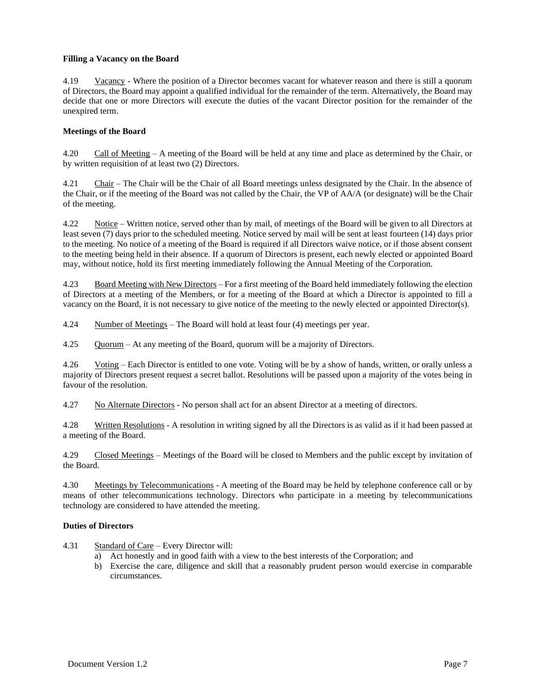## **Filling a Vacancy on the Board**

4.19 Vacancy - Where the position of a Director becomes vacant for whatever reason and there is still a quorum of Directors, the Board may appoint a qualified individual for the remainder of the term. Alternatively, the Board may decide that one or more Directors will execute the duties of the vacant Director position for the remainder of the unexpired term.

## **Meetings of the Board**

4.20 Call of Meeting – A meeting of the Board will be held at any time and place as determined by the Chair, or by written requisition of at least two (2) Directors.

4.21 Chair – The Chair will be the Chair of all Board meetings unless designated by the Chair. In the absence of the Chair, or if the meeting of the Board was not called by the Chair, the VP of AA/A (or designate) will be the Chair of the meeting.

4.22 Notice – Written notice, served other than by mail, of meetings of the Board will be given to all Directors at least seven (7) days prior to the scheduled meeting. Notice served by mail will be sent at least fourteen (14) days prior to the meeting. No notice of a meeting of the Board is required if all Directors waive notice, or if those absent consent to the meeting being held in their absence. If a quorum of Directors is present, each newly elected or appointed Board may, without notice, hold its first meeting immediately following the Annual Meeting of the Corporation.

4.23 Board Meeting with New Directors – For a first meeting of the Board held immediately following the election of Directors at a meeting of the Members, or for a meeting of the Board at which a Director is appointed to fill a vacancy on the Board, it is not necessary to give notice of the meeting to the newly elected or appointed Director(s).

4.24 Number of Meetings – The Board will hold at least four (4) meetings per year.

4.25 Quorum – At any meeting of the Board, quorum will be a majority of Directors.

4.26 Voting – Each Director is entitled to one vote. Voting will be by a show of hands, written, or orally unless a majority of Directors present request a secret ballot. Resolutions will be passed upon a majority of the votes being in favour of the resolution.

4.27 No Alternate Directors - No person shall act for an absent Director at a meeting of directors.

4.28 Written Resolutions - A resolution in writing signed by all the Directors is as valid as if it had been passed at a meeting of the Board.

4.29 Closed Meetings – Meetings of the Board will be closed to Members and the public except by invitation of the Board.

4.30 Meetings by Telecommunications - A meeting of the Board may be held by telephone conference call or by means of other telecommunications technology. Directors who participate in a meeting by telecommunications technology are considered to have attended the meeting.

## **Duties of Directors**

4.31 Standard of Care – Every Director will:

- a) Act honestly and in good faith with a view to the best interests of the Corporation; and
- b) Exercise the care, diligence and skill that a reasonably prudent person would exercise in comparable circumstances.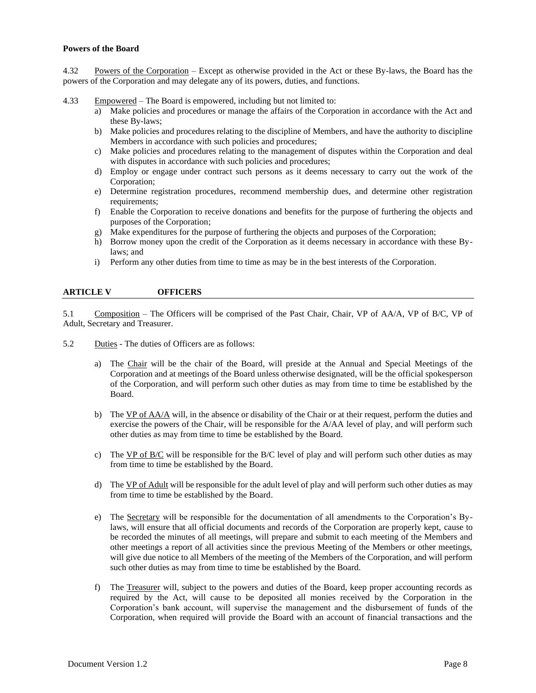### **Powers of the Board**

4.32 Powers of the Corporation – Except as otherwise provided in the Act or these By-laws, the Board has the powers of the Corporation and may delegate any of its powers, duties, and functions.

4.33 Empowered – The Board is empowered, including but not limited to:

- a) Make policies and procedures or manage the affairs of the Corporation in accordance with the Act and these By-laws;
- b) Make policies and procedures relating to the discipline of Members, and have the authority to discipline Members in accordance with such policies and procedures;
- c) Make policies and procedures relating to the management of disputes within the Corporation and deal with disputes in accordance with such policies and procedures;
- d) Employ or engage under contract such persons as it deems necessary to carry out the work of the Corporation;
- e) Determine registration procedures, recommend membership dues, and determine other registration requirements;
- f) Enable the Corporation to receive donations and benefits for the purpose of furthering the objects and purposes of the Corporation;
- g) Make expenditures for the purpose of furthering the objects and purposes of the Corporation;
- h) Borrow money upon the credit of the Corporation as it deems necessary in accordance with these Bylaws; and
- i) Perform any other duties from time to time as may be in the best interests of the Corporation.

### **ARTICLE V OFFICERS**

5.1 Composition – The Officers will be comprised of the Past Chair, Chair, VP of AA/A, VP of B/C, VP of Adult, Secretary and Treasurer.

5.2 Duties - The duties of Officers are as follows:

- a) The Chair will be the chair of the Board, will preside at the Annual and Special Meetings of the Corporation and at meetings of the Board unless otherwise designated, will be the official spokesperson of the Corporation, and will perform such other duties as may from time to time be established by the Board.
- b) The  $VP$  of  $AA/A$  will, in the absence or disability of the Chair or at their request, perform the duties and exercise the powers of the Chair, will be responsible for the A/AA level of play, and will perform such other duties as may from time to time be established by the Board.
- c) The VP of B/C will be responsible for the B/C level of play and will perform such other duties as may from time to time be established by the Board.
- d) The VP of Adult will be responsible for the adult level of play and will perform such other duties as may from time to time be established by the Board.
- e) The Secretary will be responsible for the documentation of all amendments to the Corporation's Bylaws, will ensure that all official documents and records of the Corporation are properly kept, cause to be recorded the minutes of all meetings, will prepare and submit to each meeting of the Members and other meetings a report of all activities since the previous Meeting of the Members or other meetings, will give due notice to all Members of the meeting of the Members of the Corporation, and will perform such other duties as may from time to time be established by the Board.
- f) The Treasurer will, subject to the powers and duties of the Board, keep proper accounting records as required by the Act, will cause to be deposited all monies received by the Corporation in the Corporation's bank account, will supervise the management and the disbursement of funds of the Corporation, when required will provide the Board with an account of financial transactions and the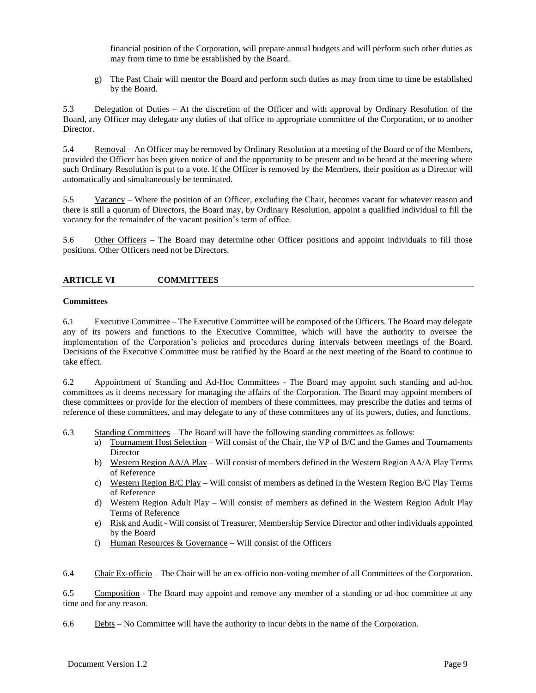financial position of the Corporation, will prepare annual budgets and will perform such other duties as may from time to time be established by the Board.

g) The Past Chair will mentor the Board and perform such duties as may from time to time be established by the Board.

5.3 Delegation of Duties – At the discretion of the Officer and with approval by Ordinary Resolution of the Board, any Officer may delegate any duties of that office to appropriate committee of the Corporation, or to another Director.

5.4 Removal – An Officer may be removed by Ordinary Resolution at a meeting of the Board or of the Members, provided the Officer has been given notice of and the opportunity to be present and to be heard at the meeting where such Ordinary Resolution is put to a vote. If the Officer is removed by the Members, their position as a Director will automatically and simultaneously be terminated.

5.5 Vacancy – Where the position of an Officer, excluding the Chair, becomes vacant for whatever reason and there is still a quorum of Directors, the Board may, by Ordinary Resolution, appoint a qualified individual to fill the vacancy for the remainder of the vacant position's term of office.

5.6 Other Officers – The Board may determine other Officer positions and appoint individuals to fill those positions. Other Officers need not be Directors.

## **ARTICLE VI COMMITTEES**

#### **Committees**

6.1 Executive Committee – The Executive Committee will be composed of the Officers. The Board may delegate any of its powers and functions to the Executive Committee, which will have the authority to oversee the implementation of the Corporation's policies and procedures during intervals between meetings of the Board. Decisions of the Executive Committee must be ratified by the Board at the next meeting of the Board to continue to take effect.

6.2 Appointment of Standing and Ad-Hoc Committees - The Board may appoint such standing and ad-hoc committees as it deems necessary for managing the affairs of the Corporation. The Board may appoint members of these committees or provide for the election of members of these committees, may prescribe the duties and terms of reference of these committees, and may delegate to any of these committees any of its powers, duties, and functions.

6.3 Standing Committees – The Board will have the following standing committees as follows:

- a) Tournament Host Selection Will consist of the Chair, the VP of B/C and the Games and Tournaments **Director**
- b) Western Region AA/A Play Will consist of members defined in the Western Region AA/A Play Terms of Reference
- c) Western Region B/C Play Will consist of members as defined in the Western Region B/C Play Terms of Reference
- d) Western Region Adult Play Will consist of members as defined in the Western Region Adult Play Terms of Reference
- e) Risk and Audit Will consist of Treasurer, Membership Service Director and other individuals appointed by the Board
- f) Human Resources  $&$  Governance Will consist of the Officers
- 6.4 Chair Ex-officio The Chair will be an ex-officio non-voting member of all Committees of the Corporation.

6.5 Composition - The Board may appoint and remove any member of a standing or ad-hoc committee at any time and for any reason.

6.6 Debts – No Committee will have the authority to incur debts in the name of the Corporation.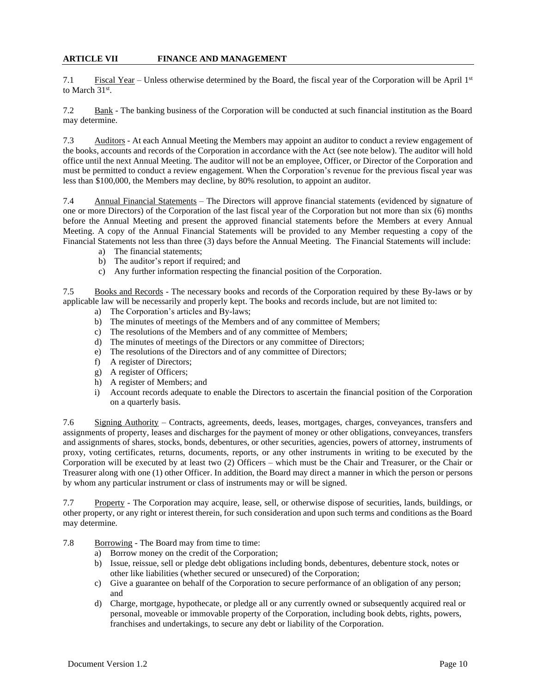## **ARTICLE VII FINANCE AND MANAGEMENT**

7.1 Fiscal Year – Unless otherwise determined by the Board, the fiscal year of the Corporation will be April 1st to March 31<sup>st</sup>.

7.2 Bank - The banking business of the Corporation will be conducted at such financial institution as the Board may determine.

7.3 Auditors - At each Annual Meeting the Members may appoint an auditor to conduct a review engagement of the books, accounts and records of the Corporation in accordance with the Act (see note below). The auditor will hold office until the next Annual Meeting. The auditor will not be an employee, Officer, or Director of the Corporation and must be permitted to conduct a review engagement. When the Corporation's revenue for the previous fiscal year was less than \$100,000, the Members may decline, by 80% resolution, to appoint an auditor.

7.4 Annual Financial Statements – The Directors will approve financial statements (evidenced by signature of one or more Directors) of the Corporation of the last fiscal year of the Corporation but not more than six (6) months before the Annual Meeting and present the approved financial statements before the Members at every Annual Meeting. A copy of the Annual Financial Statements will be provided to any Member requesting a copy of the Financial Statements not less than three (3) days before the Annual Meeting. The Financial Statements will include:

- a) The financial statements;
- b) The auditor's report if required; and
- c) Any further information respecting the financial position of the Corporation.

7.5 Books and Records - The necessary books and records of the Corporation required by these By-laws or by applicable law will be necessarily and properly kept. The books and records include, but are not limited to:

- a) The Corporation's articles and By-laws;
- b) The minutes of meetings of the Members and of any committee of Members;
- c) The resolutions of the Members and of any committee of Members;
- d) The minutes of meetings of the Directors or any committee of Directors;
- e) The resolutions of the Directors and of any committee of Directors;
- f) A register of Directors;
- g) A register of Officers;
- h) A register of Members; and
- i) Account records adequate to enable the Directors to ascertain the financial position of the Corporation on a quarterly basis.

7.6 Signing Authority – Contracts, agreements, deeds, leases, mortgages, charges, conveyances, transfers and assignments of property, leases and discharges for the payment of money or other obligations, conveyances, transfers and assignments of shares, stocks, bonds, debentures, or other securities, agencies, powers of attorney, instruments of proxy, voting certificates, returns, documents, reports, or any other instruments in writing to be executed by the Corporation will be executed by at least two (2) Officers – which must be the Chair and Treasurer, or the Chair or Treasurer along with one (1) other Officer. In addition, the Board may direct a manner in which the person or persons by whom any particular instrument or class of instruments may or will be signed.

7.7 Property - The Corporation may acquire, lease, sell, or otherwise dispose of securities, lands, buildings, or other property, or any right or interest therein, for such consideration and upon such terms and conditions as the Board may determine.

- 7.8 Borrowing The Board may from time to time:
	- a) Borrow money on the credit of the Corporation;
	- b) Issue, reissue, sell or pledge debt obligations including bonds, debentures, debenture stock, notes or other like liabilities (whether secured or unsecured) of the Corporation;
	- c) Give a guarantee on behalf of the Corporation to secure performance of an obligation of any person; and
	- d) Charge, mortgage, hypothecate, or pledge all or any currently owned or subsequently acquired real or personal, moveable or immovable property of the Corporation, including book debts, rights, powers, franchises and undertakings, to secure any debt or liability of the Corporation.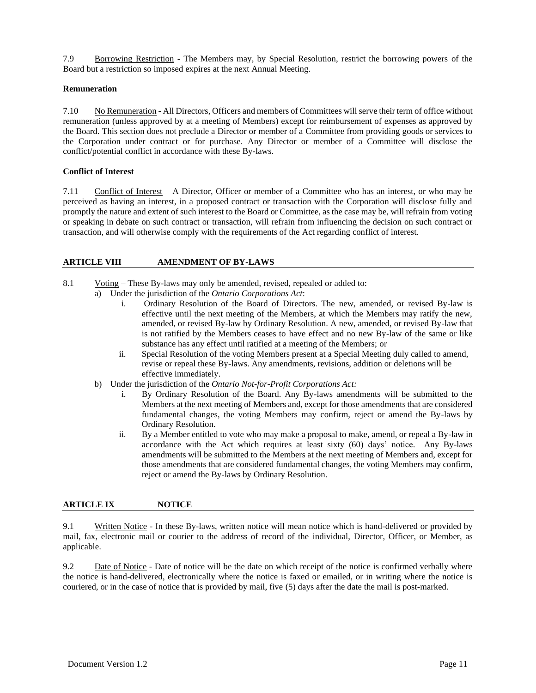7.9 Borrowing Restriction - The Members may, by Special Resolution, restrict the borrowing powers of the Board but a restriction so imposed expires at the next Annual Meeting.

### **Remuneration**

7.10 No Remuneration - All Directors, Officers and members of Committees will serve their term of office without remuneration (unless approved by at a meeting of Members) except for reimbursement of expenses as approved by the Board. This section does not preclude a Director or member of a Committee from providing goods or services to the Corporation under contract or for purchase. Any Director or member of a Committee will disclose the conflict/potential conflict in accordance with these By-laws.

## **Conflict of Interest**

7.11 Conflict of Interest – A Director, Officer or member of a Committee who has an interest, or who may be perceived as having an interest, in a proposed contract or transaction with the Corporation will disclose fully and promptly the nature and extent of such interest to the Board or Committee, as the case may be, will refrain from voting or speaking in debate on such contract or transaction, will refrain from influencing the decision on such contract or transaction, and will otherwise comply with the requirements of the Act regarding conflict of interest.

### **ARTICLE VIII AMENDMENT OF BY-LAWS**

- 8.1 Voting These By-laws may only be amended, revised, repealed or added to:
	- a) Under the jurisdiction of the *Ontario Corporations Act*:
		- i. Ordinary Resolution of the Board of Directors. The new, amended, or revised By-law is effective until the next meeting of the Members, at which the Members may ratify the new, amended, or revised By-law by Ordinary Resolution. A new, amended, or revised By-law that is not ratified by the Members ceases to have effect and no new By-law of the same or like substance has any effect until ratified at a meeting of the Members; or
		- ii. Special Resolution of the voting Members present at a Special Meeting duly called to amend, revise or repeal these By-laws. Any amendments, revisions, addition or deletions will be effective immediately.
		- b) Under the jurisdiction of the *Ontario Not-for-Profit Corporations Act:*
			- i. By Ordinary Resolution of the Board. Any By-laws amendments will be submitted to the Members at the next meeting of Members and, except for those amendments that are considered fundamental changes, the voting Members may confirm, reject or amend the By-laws by Ordinary Resolution.
			- ii. By a Member entitled to vote who may make a proposal to make, amend, or repeal a By-law in accordance with the Act which requires at least sixty (60) days' notice. Any By-laws amendments will be submitted to the Members at the next meeting of Members and, except for those amendments that are considered fundamental changes, the voting Members may confirm, reject or amend the By-laws by Ordinary Resolution.

## **ARTICLE IX NOTICE**

9.1 Written Notice - In these By-laws, written notice will mean notice which is hand-delivered or provided by mail, fax, electronic mail or courier to the address of record of the individual, Director, Officer, or Member, as applicable.

9.2 Date of Notice - Date of notice will be the date on which receipt of the notice is confirmed verbally where the notice is hand-delivered, electronically where the notice is faxed or emailed, or in writing where the notice is couriered, or in the case of notice that is provided by mail, five (5) days after the date the mail is post-marked.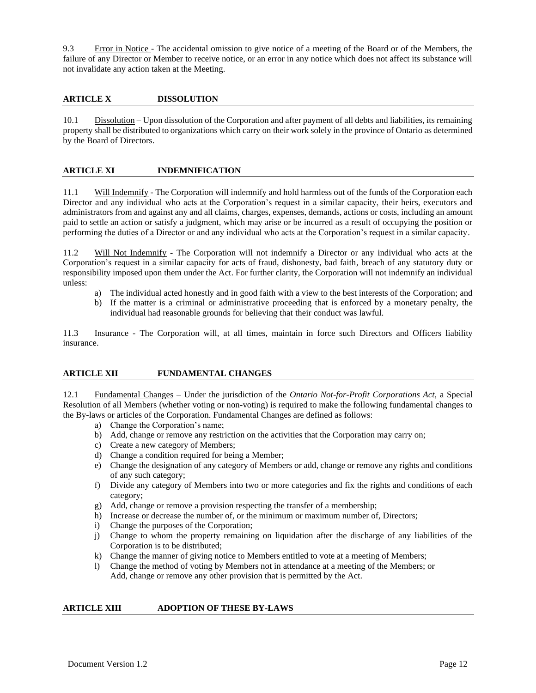9.3 Error in Notice - The accidental omission to give notice of a meeting of the Board or of the Members, the failure of any Director or Member to receive notice, or an error in any notice which does not affect its substance will not invalidate any action taken at the Meeting.

## **ARTICLE X DISSOLUTION**

10.1 Dissolution – Upon dissolution of the Corporation and after payment of all debts and liabilities, its remaining property shall be distributed to organizations which carry on their work solely in the province of Ontario as determined by the Board of Directors.

## **ARTICLE XI INDEMNIFICATION**

11.1 Will Indemnify - The Corporation will indemnify and hold harmless out of the funds of the Corporation each Director and any individual who acts at the Corporation's request in a similar capacity, their heirs, executors and administrators from and against any and all claims, charges, expenses, demands, actions or costs, including an amount paid to settle an action or satisfy a judgment, which may arise or be incurred as a result of occupying the position or performing the duties of a Director or and any individual who acts at the Corporation's request in a similar capacity.

11.2 Will Not Indemnify - The Corporation will not indemnify a Director or any individual who acts at the Corporation's request in a similar capacity for acts of fraud, dishonesty, bad faith, breach of any statutory duty or responsibility imposed upon them under the Act. For further clarity, the Corporation will not indemnify an individual unless:

- a) The individual acted honestly and in good faith with a view to the best interests of the Corporation; and
- b) If the matter is a criminal or administrative proceeding that is enforced by a monetary penalty, the individual had reasonable grounds for believing that their conduct was lawful.

11.3 Insurance - The Corporation will, at all times, maintain in force such Directors and Officers liability insurance.

## **ARTICLE XII FUNDAMENTAL CHANGES**

12.1 Fundamental Changes – Under the jurisdiction of the *Ontario Not-for-Profit Corporations Act,* a Special Resolution of all Members (whether voting or non-voting) is required to make the following fundamental changes to the By-laws or articles of the Corporation. Fundamental Changes are defined as follows:

- a) Change the Corporation's name;
- b) Add, change or remove any restriction on the activities that the Corporation may carry on;
- c) Create a new category of Members;
- d) Change a condition required for being a Member;
- e) Change the designation of any category of Members or add, change or remove any rights and conditions of any such category;
- f) Divide any category of Members into two or more categories and fix the rights and conditions of each category;
- g) Add, change or remove a provision respecting the transfer of a membership;
- h) Increase or decrease the number of, or the minimum or maximum number of, Directors;
- i) Change the purposes of the Corporation;
- j) Change to whom the property remaining on liquidation after the discharge of any liabilities of the Corporation is to be distributed;
- k) Change the manner of giving notice to Members entitled to vote at a meeting of Members;
- l) Change the method of voting by Members not in attendance at a meeting of the Members; or Add, change or remove any other provision that is permitted by the Act.

#### **ARTICLE XIII ADOPTION OF THESE BY-LAWS**